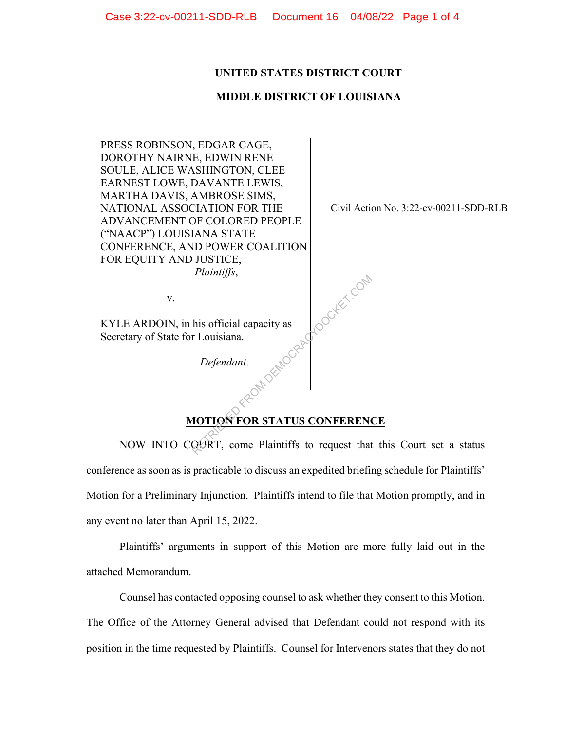#### **UNITED STATES DISTRICT COURT**

## **MIDDLE DISTRICT OF LOUISIANA**

PRESS ROBINSON, EDGAR CAGE, DOROTHY NAIRNE, EDWIN RENE SOULE, ALICE WASHINGTON, CLEE EARNEST LOWE, DAVANTE LEWIS, MARTHA DAVIS, AMBROSE SIMS, NATIONAL ASSOCIATION FOR THE ADVANCEMENT OF COLORED PEOPLE ("NAACP") LOUISIANA STATE CONFERENCE, AND POWER COALITION FOR EQUITY AND JUSTICE,  *Plaintiffs*, v. KYLE ARDOIN, in his official capacity as Secretary of State for Louisiana. *Defendant*. Civil Action No. 3:22-cv-00211-SDD-RLB **MOTION FOR STATUS CONFERENCE** MOGRAFIOOKET.COM

NOW INTO COURT, come Plaintiffs to request that this Court set a status conference as soon as is practicable to discuss an expedited briefing schedule for Plaintiffs' Motion for a Preliminary Injunction. Plaintiffs intend to file that Motion promptly, and in any event no later than April 15, 2022.

Plaintiffs' arguments in support of this Motion are more fully laid out in the attached Memorandum.

Counsel has contacted opposing counsel to ask whether they consent to this Motion. The Office of the Attorney General advised that Defendant could not respond with its position in the time requested by Plaintiffs. Counsel for Intervenors states that they do not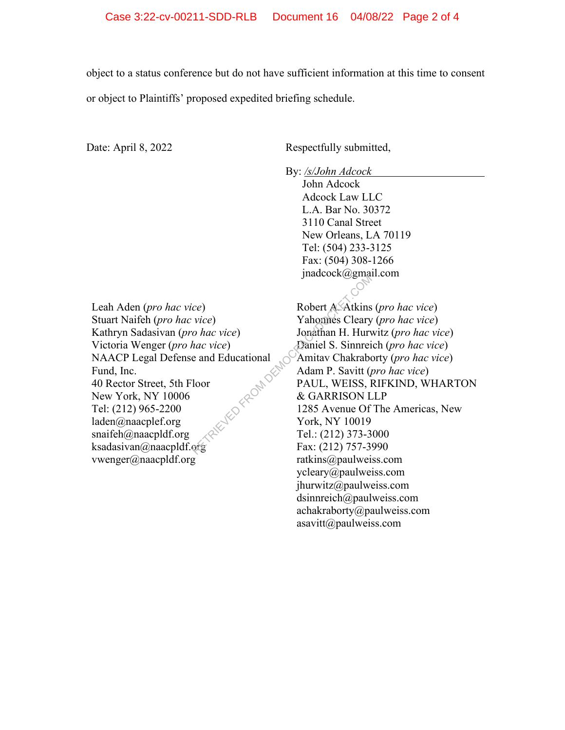object to a status conference but do not have sufficient information at this time to consent or object to Plaintiffs' proposed expedited briefing schedule.

Date: April 8, 2022 Respectfully submitted,

By: */s/John Adcock* 

John Adcock Adcock Law LLC L.A. Bar No. 30372 3110 Canal Street New Orleans, LA 70119 Tel: (504) 233-3125 Fax: (504) 308-1266 jnadcock@gmail.com

Leah Aden (*pro hac vice*) Stuart Naifeh (*pro hac vice*) Kathryn Sadasivan (*pro hac vice*) Victoria Wenger (*pro hac vice*) NAACP Legal Defense and Educational Fund, Inc. 40 Rector Street, 5th Floor New York, NY 10006 Tel: (212) 965-2200 laden@naacplef.org snaifeh@naacpldf.org ksadasivan@naacpldf.org vwenger@naacpldf.org LIED FROM DEMOC

Robert A. Atkins (*pro hac vice*) Yahonnes Cleary (*pro hac vice*) Jonathan H. Hurwitz (*pro hac vice*) Daniel S. Sinnreich (*pro hac vice*) Amitav Chakraborty (*pro hac vice*) Adam P. Savitt (*pro hac vice*) PAUL, WEISS, RIFKIND, WHARTON & GARRISON LLP 1285 Avenue Of The Americas, New York, NY 10019 Tel.: (212) 373-3000 Fax: (212) 757-3990 ratkins@paulweiss.com ycleary@paulweiss.com jhurwitz@paulweiss.com dsinnreich@paulweiss.com achakraborty@paulweiss.com asavitt@paulweiss.com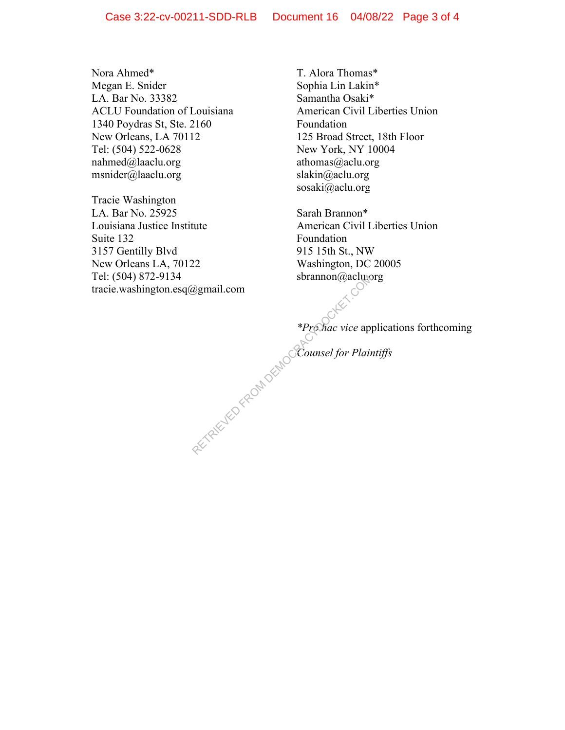Nora Ahmed\* Megan E. Snider LA. Bar No. 33382 ACLU Foundation of Louisiana 1340 Poydras St, Ste. 2160 New Orleans, LA 70112 Tel: (504) 522-0628 nahmed@laaclu.org msnider@laaclu.org

Tracie Washington LA. Bar No. 25925 Louisiana Justice Institute Suite 132 3157 Gentilly Blvd New Orleans LA, 70122 Tel: (504) 872-9134 tracie.washington.esq@gmail.com Bythe Strannon (*a*) actude<br>
\*Promac vice app<br>
\*Promac vice app<br>
Counsel for Plain

T. Alora Thomas\* Sophia Lin Lakin\* Samantha Osaki\* American Civil Liberties Union Foundation 125 Broad Street, 18th Floor New York, NY 10004 athomas@aclu.org slakin@aclu.org sosaki@aclu.org

Sarah Brannon\* American Civil Liberties Union Foundation 915 15th St., NW Washington, DC 20005 sbrannon@aclu.org

*\*Pro hac vice* applications forthcoming

*Counsel for Plaintiffs*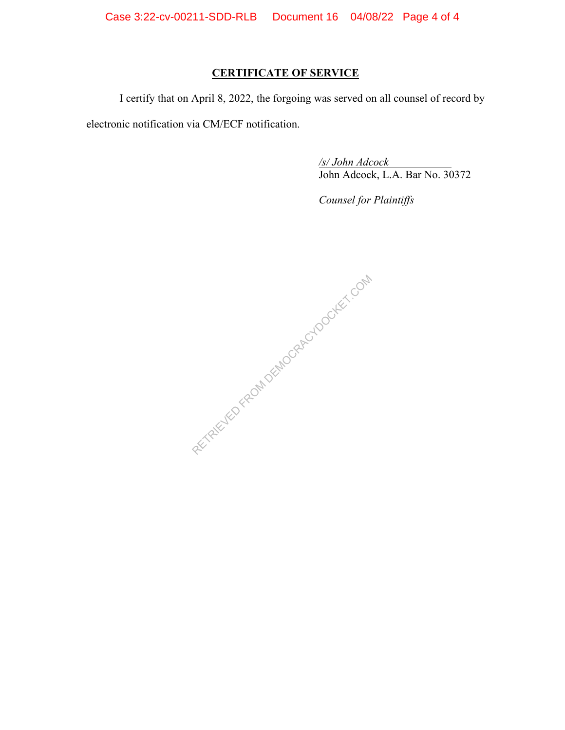Case 3:22-cv-00211-SDD-RLB Document 16 04/08/22 Page 4 of 4

# **CERTIFICATE OF SERVICE**

I certify that on April 8, 2022, the forgoing was served on all counsel of record by electronic notification via CM/ECF notification.

*/s/ John Adcock*  John Adcock, L.A. Bar No. 30372

*Counsel for Plaintiffs*

RECTRICUTED FROM DEMOCRACYDOCKET.COM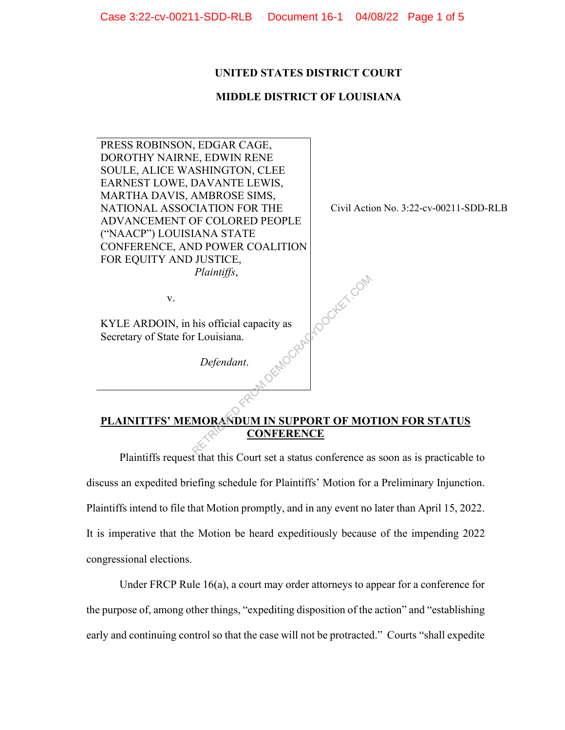# **UNITED STATES DISTRICT COURT**

## **MIDDLE DISTRICT OF LOUISIANA**

PRESS ROBINSON, EDGAR CAGE, DOROTHY NAIRNE, EDWIN RENE SOULE, ALICE WASHINGTON, CLEE EARNEST LOWE, DAVANTE LEWIS, MARTHA DAVIS, AMBROSE SIMS, NATIONAL ASSOCIATION FOR THE ADVANCEMENT OF COLORED PEOPLE ("NAACP") LOUISIANA STATE CONFERENCE, AND POWER COALITION FOR EQUITY AND JUSTICE,  *Plaintiffs*, v. KYLE ARDOIN, in his official capacity as Secretary of State for Louisiana. *Defendant*. Civil Action No. 3:22-cv-00211-SDD-RLB MOCRAFLOOKEET.COM

# **PLAINITTFS' MEMORANDUM IN SUPPORT OF MOTION FOR STATUS CONFERENCE**

Plaintiffs request that this Court set a status conference as soon as is practicable to discuss an expedited briefing schedule for Plaintiffs' Motion for a Preliminary Injunction. Plaintiffs intend to file that Motion promptly, and in any event no later than April 15, 2022. It is imperative that the Motion be heard expeditiously because of the impending 2022 congressional elections.

Under FRCP Rule  $16(a)$ , a court may order attorneys to appear for a conference for the purpose of, among other things, "expediting disposition of the action" and "establishing early and continuing control so that the case will not be protracted." Courts "shall expedite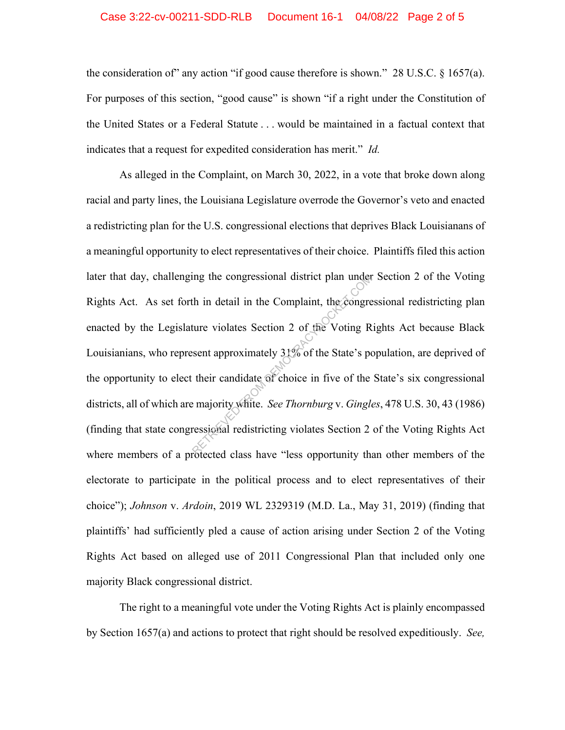#### Case 3:22-cv-00211-SDD-RLB Document 16-1 04/08/22 Page 2 of 5

the consideration of" any action "if good cause therefore is shown."28 U.S.C. § 1657(a). For purposes of this section, "good cause" is shown "if a right under the Constitution of the United States or a Federal Statute . . . would be maintained in a factual context that indicates that a request for expedited consideration has merit." *Id.*

As alleged in the Complaint, on March 30, 2022, in a vote that broke down along racial and party lines, the Louisiana Legislature overrode the Governor's veto and enacted a redistricting plan for the U.S. congressional elections that deprives Black Louisianans of a meaningful opportunity to elect representatives of their choice. Plaintiffs filed this action later that day, challenging the congressional district plan under Section 2 of the Voting Rights Act. As set forth in detail in the Complaint, the congressional redistricting plan enacted by the Legislature violates Section 2 of the Voting Rights Act because Black Louisianians, who represent approximately 31% of the State's population, are deprived of the opportunity to elect their candidate of choice in five of the State's six congressional districts, all of which are majority white. *See Thornburg* v. *Gingles*, 478 U.S. 30, 43 (1986) (finding that state congressional redistricting violates Section 2 of the Voting Rights Act where members of a protected class have "less opportunity than other members of the electorate to participate in the political process and to elect representatives of their choice"); *Johnson* v. *Ardoin*, 2019 WL 2329319 (M.D. La., May 31, 2019) (finding that plaintiffs' had sufficiently pled a cause of action arising under Section 2 of the Voting Rights Act based on alleged use of 2011 Congressional Plan that included only one majority Black congressional district. ing the congressional district plan under<br>the indication of the Complaint, the congre<br>ture violates Section 2 of the Voting R<br>sent approximately 31% of the State's po<br>their candidate of choice in five of the<br>emajority whit

The right to a meaningful vote under the Voting Rights Act is plainly encompassed by Section 1657(a) and actions to protect that right should be resolved expeditiously. *See,*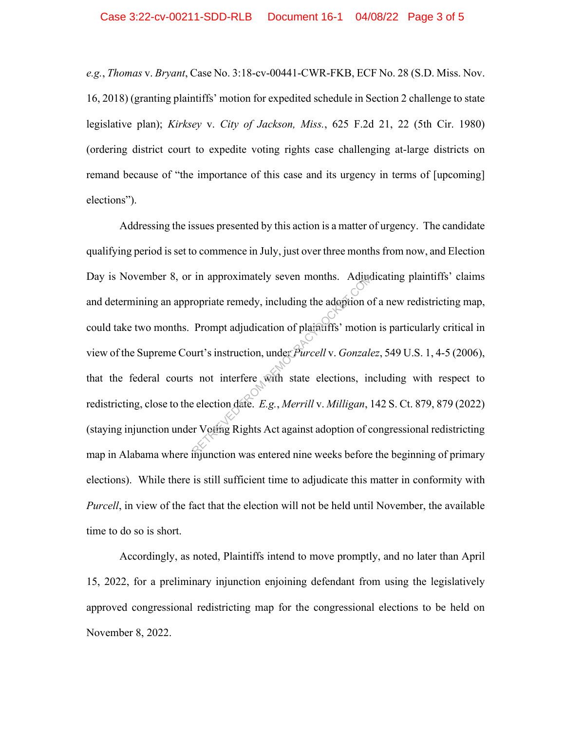*e.g.*, *Thomas* v. *Bryant*, Case No. 3:18-cv-00441-CWR-FKB, ECF No. 28 (S.D. Miss. Nov. 16, 2018) (granting plaintiffs' motion for expedited schedule in Section 2 challenge to state legislative plan); *Kirksey* v. *City of Jackson, Miss.*, 625 F.2d 21, 22 (5th Cir. 1980) (ordering district court to expedite voting rights case challenging at-large districts on remand because of "the importance of this case and its urgency in terms of [upcoming] elections").

Addressing the issues presented by this action is a matter of urgency. The candidate qualifying period is set to commence in July, just over three months from now, and Election Day is November 8, or in approximately seven months. Adjudicating plaintiffs' claims and determining an appropriate remedy, including the adoption of a new redistricting map, could take two months. Prompt adjudication of plaintiffs' motion is particularly critical in view of the Supreme Court's instruction, under *Purcell* v. *Gonzalez*, 549 U.S. 1, 4-5 (2006), that the federal courts not interfere with state elections, including with respect to redistricting, close to the election date. *E.g.*, *Merrill* v. *Milligan*, 142 S. Ct. 879, 879 (2022) (staying injunction under Voting Rights Act against adoption of congressional redistricting map in Alabama where injunction was entered nine weeks before the beginning of primary elections). While there is still sufficient time to adjudicate this matter in conformity with *Purcell*, in view of the fact that the election will not be held until November, the available time to do so is short. In approximately seven months. Adjudition of plaintiffs' motion<br>
Prompt adjudication of plaintiffs' motion<br>
urt's instruction, under *Purcell* v. *Gonzale*<br>
interfere with state elections, in<br>
election date. *E.g.*, *Merr* 

Accordingly, as noted, Plaintiffs intend to move promptly, and no later than April 15, 2022, for a preliminary injunction enjoining defendant from using the legislatively approved congressional redistricting map for the congressional elections to be held on November 8, 2022.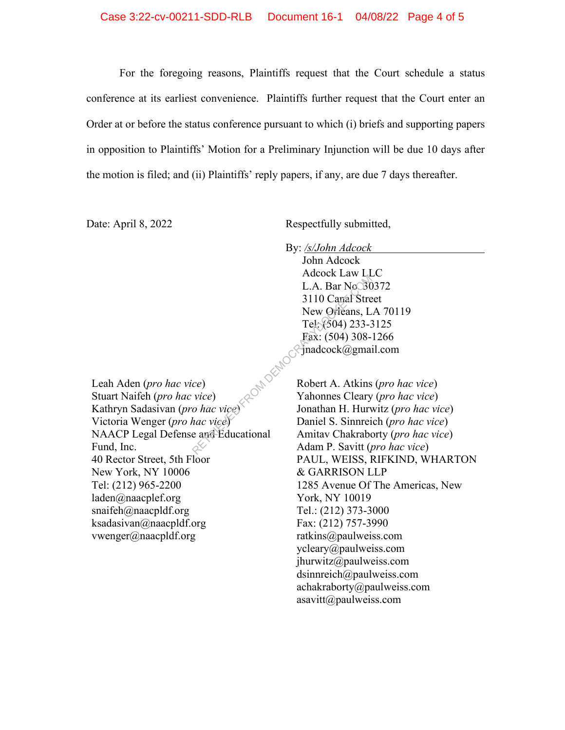For the foregoing reasons, Plaintiffs request that the Court schedule a status conference at its earliest convenience. Plaintiffs further request that the Court enter an Order at or before the status conference pursuant to which (i) briefs and supporting papers in opposition to Plaintiffs' Motion for a Preliminary Injunction will be due 10 days after the motion is filed; and (ii) Plaintiffs' reply papers, if any, are due 7 days thereafter.

Date: April 8, 2022 Respectfully submitted,

By: */s/John Adcock*  John Adcock Adcock Law LLC L.A. Bar No. 30372 3110 Canal Street New Orleans, LA 70119 Tel: (504) 233-3125 Fax: (504) 308-1266 jnadcock@gmail.com Retried Eaw Francock Eaw Francock Eaw Francock<br>
3110 Carral Stre<br>
New Orleans, L<br>
Tel. (504) 233-3<br>
Fax: (504) 308-<br>
Fax: (504) 308-<br>
Fax: (504) 308-<br>
Fax: (504) 308-<br>
Mac Vice)<br>
Robert A. Atkins<br>
Vice)<br>
Vahonnes Cleary<br>
J

Leah Aden (*pro hac vice*) Stuart Naifeh (*pro hac vice*) Kathryn Sadasivan (*pro hac vice*) Victoria Wenger (*pro hac vice*) NAACP Legal Defense and Educational Fund, Inc. 40 Rector Street, 5th Floor New York, NY 10006 Tel: (212) 965-2200 laden@naacplef.org snaifeh@naacpldf.org ksadasivan@naacpldf.org vwenger@naacpldf.org

Robert A. Atkins (*pro hac vice*) Yahonnes Cleary (*pro hac vice*) Jonathan H. Hurwitz (*pro hac vice*) Daniel S. Sinnreich (*pro hac vice*) Amitav Chakraborty (*pro hac vice*) Adam P. Savitt (*pro hac vice*) PAUL, WEISS, RIFKIND, WHARTON & GARRISON LLP 1285 Avenue Of The Americas, New York, NY 10019 Tel.: (212) 373-3000 Fax: (212) 757-3990 ratkins@paulweiss.com ycleary@paulweiss.com jhurwitz@paulweiss.com dsinnreich@paulweiss.com achakraborty@paulweiss.com asavitt@paulweiss.com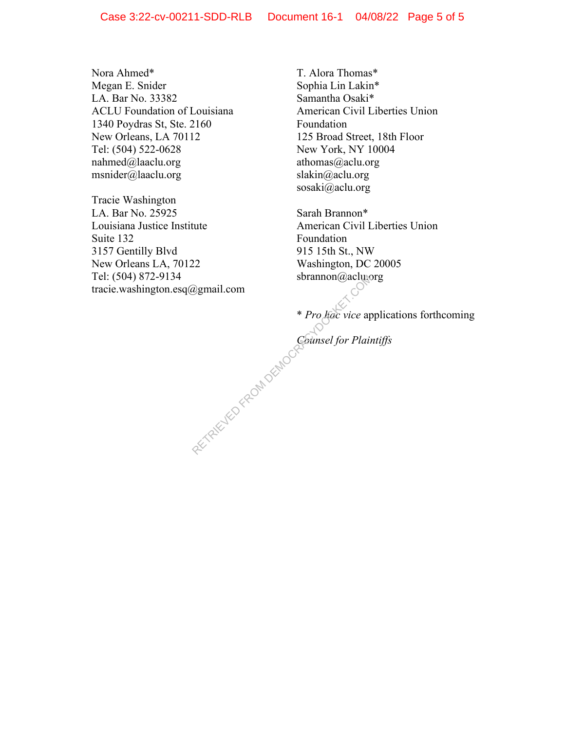Nora Ahmed\* Megan E. Snider LA. Bar No. 33382 ACLU Foundation of Louisiana 1340 Poydras St, Ste. 2160 New Orleans, LA 70112 Tel: (504) 522-0628 nahmed@laaclu.org msnider@laaclu.org

Tracie Washington LA. Bar No. 25925 Louisiana Justice Institute Suite 132 3157 Gentilly Blvd New Orleans LA, 70122 Tel: (504) 872-9134 tracie.washington.esq@gmail.com

T. Alora Thomas\* Sophia Lin Lakin\* Samantha Osaki\* American Civil Liberties Union Foundation 125 Broad Street, 18th Floor New York, NY 10004 athomas@aclu.org slakin@aclu.org sosaki@aclu.org

Sarah Brannon\* American Civil Liberties Union Foundation 915 15th St., NW Washington, DC 20005 sbrannon@aclu.org

\* *Pro hac vice* applications forthcoming Bythe Common Contract of the Common Contract of the Common Contract of the Common Contract of the Common Contract of the Common Contract of the Common Contract of the Common Contract of the Common Contract of the Common Co

*Counsel for Plaintiffs*